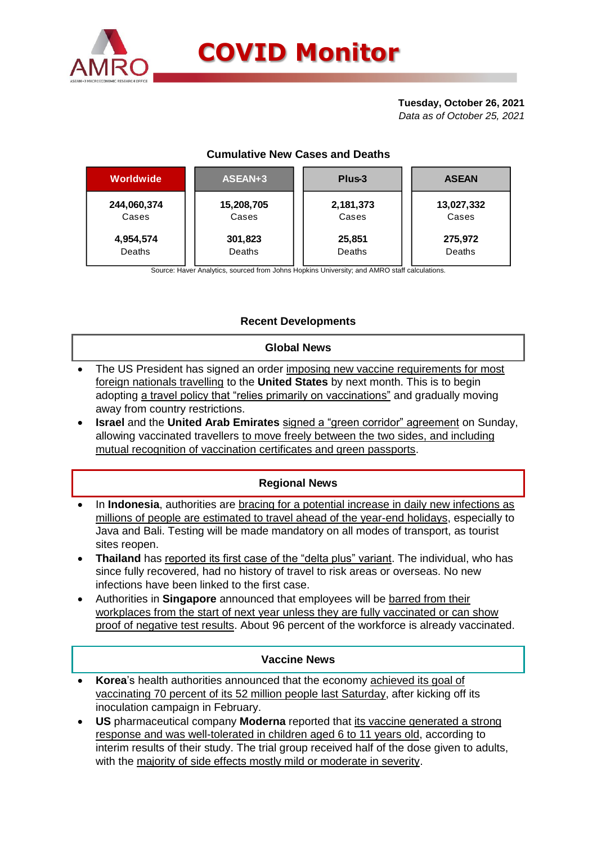

## **Tuesday, October 26, 2021**

*Data as of October 25, 2021*

#### **Cumulative New Cases and Deaths**

| <b>Worldwide</b> | ASEAN+3    | Plus-3    | <b>ASEAN</b> |  |  |
|------------------|------------|-----------|--------------|--|--|
| 244,060,374      | 15,208,705 | 2,181,373 | 13,027,332   |  |  |
| Cases            | Cases      | Cases     | Cases        |  |  |
| 4,954,574        | 301,823    | 25,851    | 275,972      |  |  |
| <b>Deaths</b>    | Deaths     | Deaths    | Deaths       |  |  |

Source: Haver Analytics, sourced from Johns Hopkins University; and AMRO staff calculations.

### **Recent Developments**

#### **Global News**

- The US President has signed an order imposing new vaccine requirements for most foreign nationals travelling to the **United States** by next month. This is to begin adopting a travel policy that "relies primarily on vaccinations" and gradually moving away from country restrictions.
- **Israel** and the **United Arab Emirates** signed a "green corridor" agreement on Sunday, allowing vaccinated travellers to move freely between the two sides, and including mutual recognition of vaccination certificates and green passports.

## **Regional News**

- In **Indonesia**, authorities are **bracing for a potential increase in daily new infections as** millions of people are estimated to travel ahead of the year-end holidays, especially to Java and Bali. Testing will be made mandatory on all modes of transport, as tourist sites reopen.
- **Thailand** has reported its first case of the "delta plus" variant. The individual, who has since fully recovered, had no history of travel to risk areas or overseas. No new infections have been linked to the first case.
- Authorities in **Singapore** announced that employees will be barred from their workplaces from the start of next year unless they are fully vaccinated or can show proof of negative test results. About 96 percent of the workforce is already vaccinated.

#### **Vaccine News**

- **Korea**'s health authorities announced that the economy achieved its goal of vaccinating 70 percent of its 52 million people last Saturday, after kicking off its inoculation campaign in February.
- **US** pharmaceutical company **Moderna** reported that its vaccine generated a strong response and was well-tolerated in children aged 6 to 11 years old, according to interim results of their study. The trial group received half of the dose given to adults, with the majority of side effects mostly mild or moderate in severity.